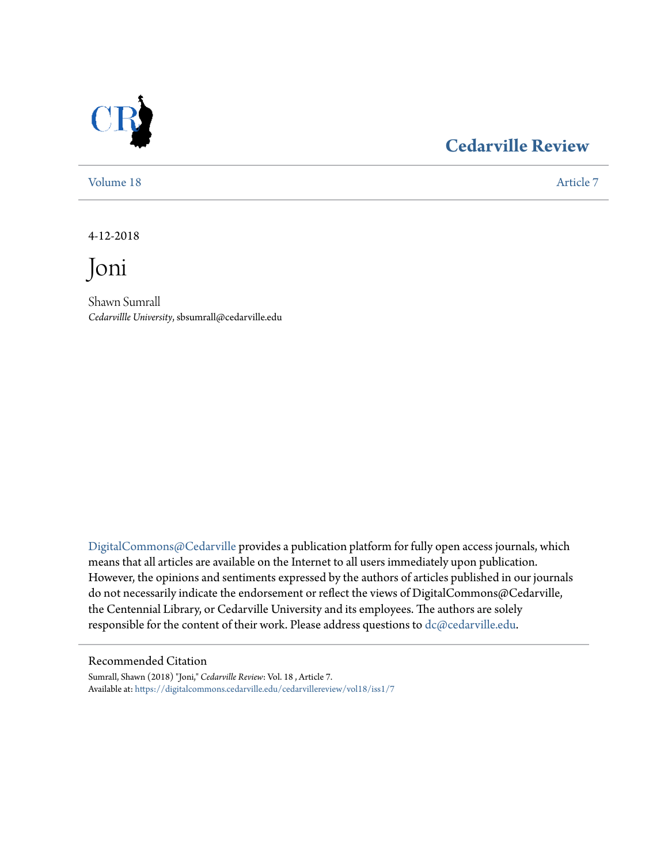

### **[Cedarville Review](https://digitalcommons.cedarville.edu/cedarvillereview?utm_source=digitalcommons.cedarville.edu%2Fcedarvillereview%2Fvol18%2Fiss1%2F7&utm_medium=PDF&utm_campaign=PDFCoverPages)**

[Volume 18](https://digitalcommons.cedarville.edu/cedarvillereview/vol18?utm_source=digitalcommons.cedarville.edu%2Fcedarvillereview%2Fvol18%2Fiss1%2F7&utm_medium=PDF&utm_campaign=PDFCoverPages) [Article 7](https://digitalcommons.cedarville.edu/cedarvillereview/vol18/iss1/7?utm_source=digitalcommons.cedarville.edu%2Fcedarvillereview%2Fvol18%2Fiss1%2F7&utm_medium=PDF&utm_campaign=PDFCoverPages)

4-12-2018

Joni

Shawn Sumrall *Cedarvillle University*, sbsumrall@cedarville.edu

[DigitalCommons@Cedarville](http://digitalcommons.cedarville.edu/) provides a publication platform for fully open access journals, which means that all articles are available on the Internet to all users immediately upon publication. However, the opinions and sentiments expressed by the authors of articles published in our journals do not necessarily indicate the endorsement or reflect the views of DigitalCommons@Cedarville, the Centennial Library, or Cedarville University and its employees. The authors are solely responsible for the content of their work. Please address questions to [dc@cedarville.edu](mailto:dc@cedarville.edu).

#### Recommended Citation

Sumrall, Shawn (2018) "Joni," *Cedarville Review*: Vol. 18 , Article 7. Available at: [https://digitalcommons.cedarville.edu/cedarvillereview/vol18/iss1/7](https://digitalcommons.cedarville.edu/cedarvillereview/vol18/iss1/7?utm_source=digitalcommons.cedarville.edu%2Fcedarvillereview%2Fvol18%2Fiss1%2F7&utm_medium=PDF&utm_campaign=PDFCoverPages)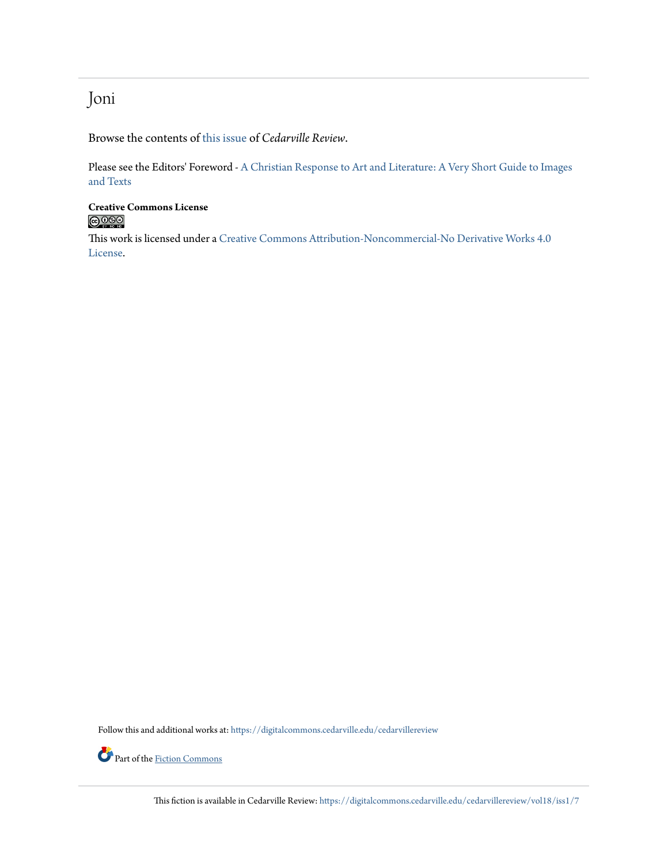### Joni

Browse the contents of [this issue](https://digitalcommons.cedarville.edu/cedarvillereview/vol18/iss1) of *Cedarville Review*.

Please see the Editors' Foreword - [A Christian Response to Art and Literature: A Very Short Guide to Images](http://digitalcommons.cedarville.edu/cedarvillereview/vol18/iss1/1/) [and Texts](http://digitalcommons.cedarville.edu/cedarvillereview/vol18/iss1/1/)

# **Creative Commons License**<br> **C** 090

This work is licensed under a [Creative Commons Attribution-Noncommercial-No Derivative Works 4.0](http://creativecommons.org/licenses/by-nc-nd/4.0/) [License.](http://creativecommons.org/licenses/by-nc-nd/4.0/)

Follow this and additional works at: [https://digitalcommons.cedarville.edu/cedarvillereview](https://digitalcommons.cedarville.edu/cedarvillereview?utm_source=digitalcommons.cedarville.edu%2Fcedarvillereview%2Fvol18%2Fiss1%2F7&utm_medium=PDF&utm_campaign=PDFCoverPages)



This fiction is available in Cedarville Review: [https://digitalcommons.cedarville.edu/cedarvillereview/vol18/iss1/7](https://digitalcommons.cedarville.edu/cedarvillereview/vol18/iss1/7?utm_source=digitalcommons.cedarville.edu%2Fcedarvillereview%2Fvol18%2Fiss1%2F7&utm_medium=PDF&utm_campaign=PDFCoverPages)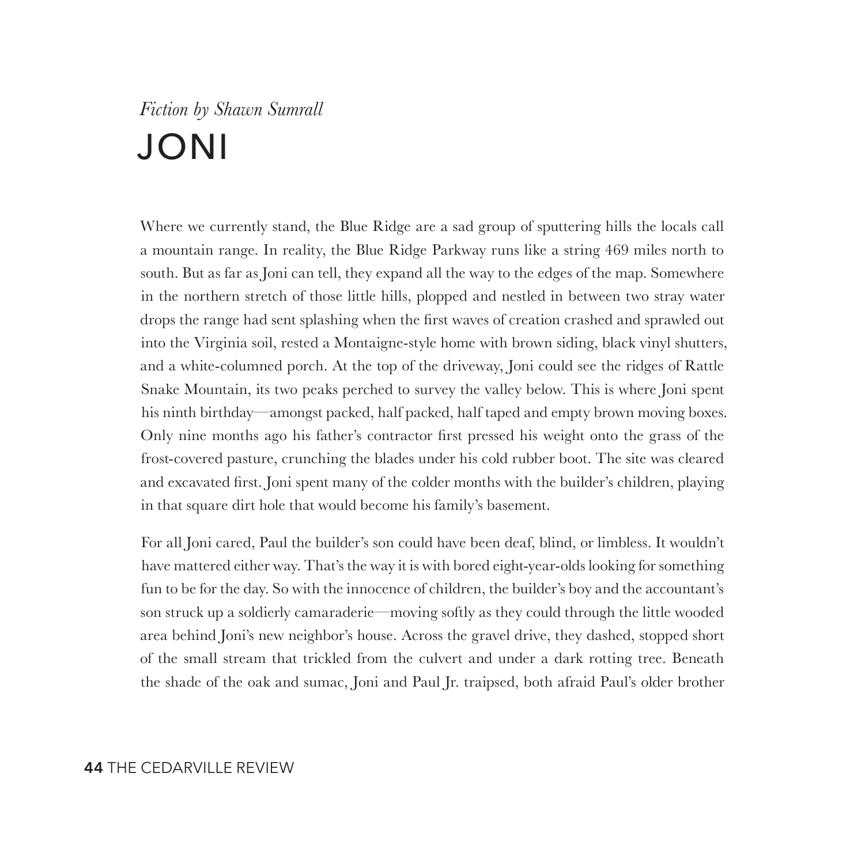## *Fiction by Shawn Sumrall* JONI

Where we currently stand, the Blue Ridge are a sad group of sputtering hills the locals call a mountain range. In reality, the Blue Ridge Parkway runs like a string 469 miles north to south. But as far as Joni can tell, they expand all the way to the edges of the map. Somewhere in the northern stretch of those little hills, plopped and nestled in between two stray water drops the range had sent splashing when the first waves of creation crashed and sprawled out into the Virginia soil, rested a Montaigne-style home with brown siding, black vinyl shutters, and a white-columned porch. At the top of the driveway, Joni could see the ridges of Rattle Snake Mountain, its two peaks perched to survey the valley below. This is where Joni spent his ninth birthday—amongst packed, half packed, half taped and empty brown moving boxes. Only nine months ago his father's contractor first pressed his weight onto the grass of the frost-covered pasture, crunching the blades under his cold rubber boot. The site was cleared and excavated first. Joni spent many of the colder months with the builder's children, playing in that square dirt hole that would become his family's basement.

For all Joni cared, Paul the builder's son could have been deaf, blind, or limbless. It wouldn't have mattered either way. That's the way it is with bored eight-year-olds looking for something fun to be for the day. So with the innocence of children, the builder's boy and the accountant's son struck up a soldierly camaraderie—moving softly as they could through the little wooded area behind Joni's new neighbor's house. Across the gravel drive, they dashed, stopped short of the small stream that trickled from the culvert and under a dark rotting tree. Beneath the shade of the oak and sumac, Joni and Paul Jr. traipsed, both afraid Paul's older brother

#### **44** THE CEDARVILLE REVIEW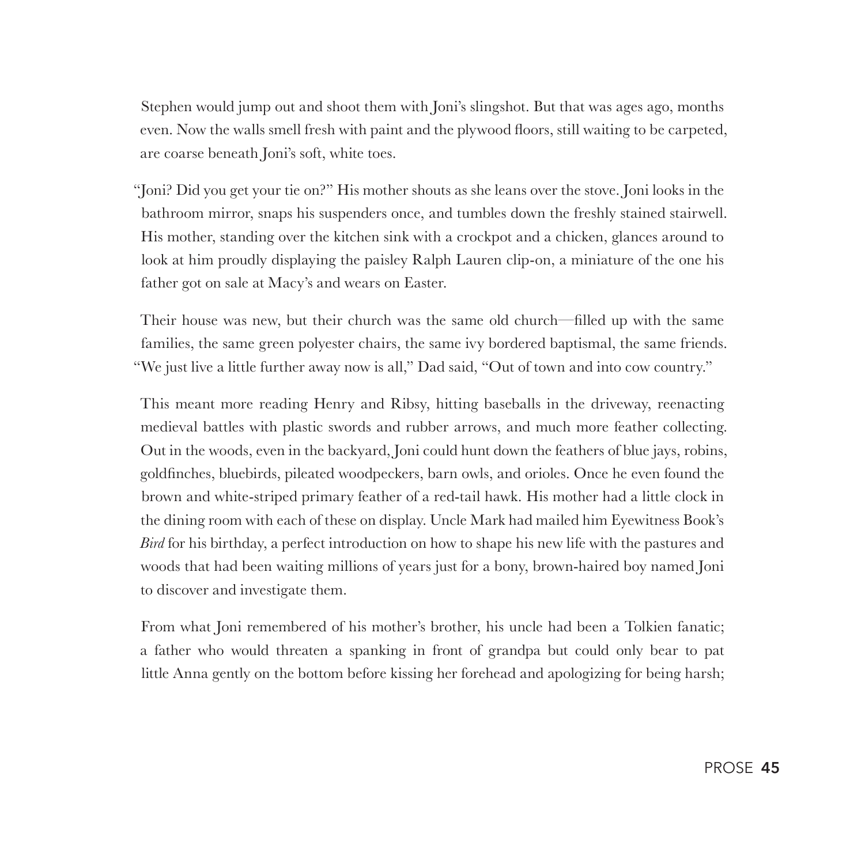Stephen would jump out and shoot them with Joni's slingshot. But that was ages ago, months even. Now the walls smell fresh with paint and the plywood floors, still waiting to be carpeted, are coarse beneath Joni's soft, white toes.

"Joni? Did you get your tie on?" His mother shouts as she leans over the stove. Joni looks in the bathroom mirror, snaps his suspenders once, and tumbles down the freshly stained stairwell. His mother, standing over the kitchen sink with a crockpot and a chicken, glances around to look at him proudly displaying the paisley Ralph Lauren clip-on, a miniature of the one his father got on sale at Macy's and wears on Easter.

Their house was new, but their church was the same old church—filled up with the same families, the same green polyester chairs, the same ivy bordered baptismal, the same friends. "We just live a little further away now is all," Dad said, "Out of town and into cow country."

This meant more reading Henry and Ribsy, hitting baseballs in the driveway, reenacting medieval battles with plastic swords and rubber arrows, and much more feather collecting. Out in the woods, even in the backyard, Joni could hunt down the feathers of blue jays, robins, goldfinches, bluebirds, pileated woodpeckers, barn owls, and orioles. Once he even found the brown and white-striped primary feather of a red-tail hawk. His mother had a little clock in the dining room with each of these on display. Uncle Mark had mailed him Eyewitness Book's *Bird* for his birthday, a perfect introduction on how to shape his new life with the pastures and woods that had been waiting millions of years just for a bony, brown-haired boy named Joni to discover and investigate them.

From what Joni remembered of his mother's brother, his uncle had been a Tolkien fanatic; a father who would threaten a spanking in front of grandpa but could only bear to pat little Anna gently on the bottom before kissing her forehead and apologizing for being harsh;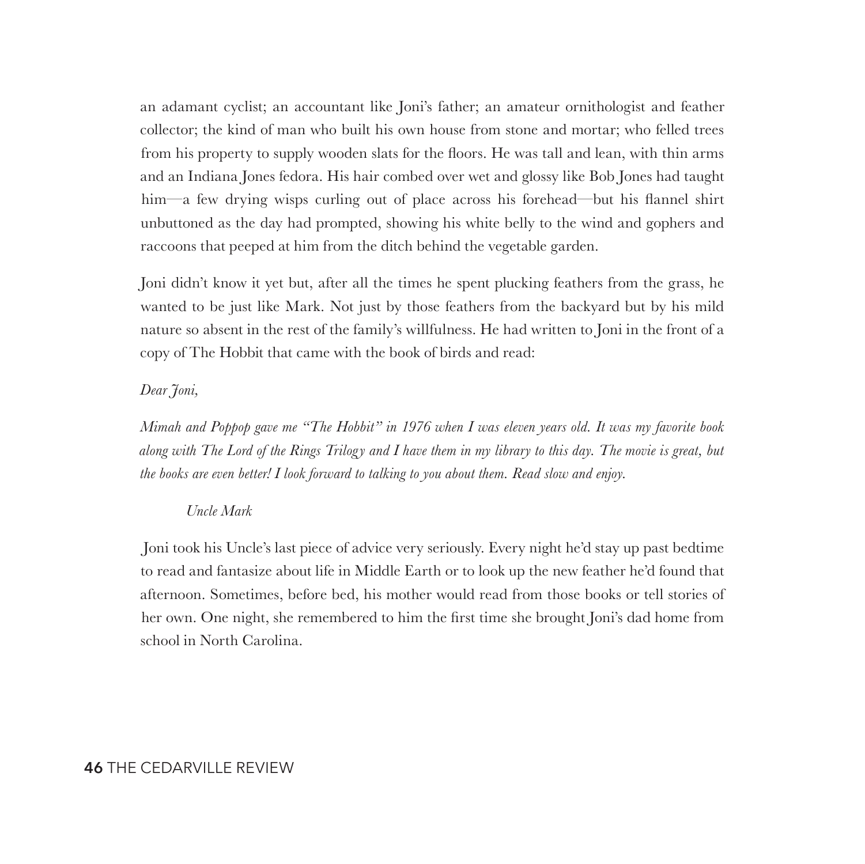an adamant cyclist; an accountant like Joni's father; an amateur ornithologist and feather collector; the kind of man who built his own house from stone and mortar; who felled trees from his property to supply wooden slats for the floors. He was tall and lean, with thin arms and an Indiana Jones fedora. His hair combed over wet and glossy like Bob Jones had taught him—a few drying wisps curling out of place across his forehead—but his flannel shirt unbuttoned as the day had prompted, showing his white belly to the wind and gophers and raccoons that peeped at him from the ditch behind the vegetable garden.

Joni didn't know it yet but, after all the times he spent plucking feathers from the grass, he wanted to be just like Mark. Not just by those feathers from the backyard but by his mild nature so absent in the rest of the family's willfulness. He had written to Joni in the front of a copy of The Hobbit that came with the book of birds and read:

#### *Dear Joni,*

*Mimah and Poppop gave me "The Hobbit" in 1976 when I was eleven years old. It was my favorite book along with The Lord of the Rings Trilogy and I have them in my library to this day. The movie is great, but the books are even better! I look forward to talking to you about them. Read slow and enjoy.*

#### *Uncle Mark*

 Joni took his Uncle's last piece of advice very seriously. Every night he'd stay up past bedtime to read and fantasize about life in Middle Earth or to look up the new feather he'd found that afternoon. Sometimes, before bed, his mother would read from those books or tell stories of her own. One night, she remembered to him the first time she brought Joni's dad home from school in North Carolina.

#### **46** THE CEDARVILLE REVIEW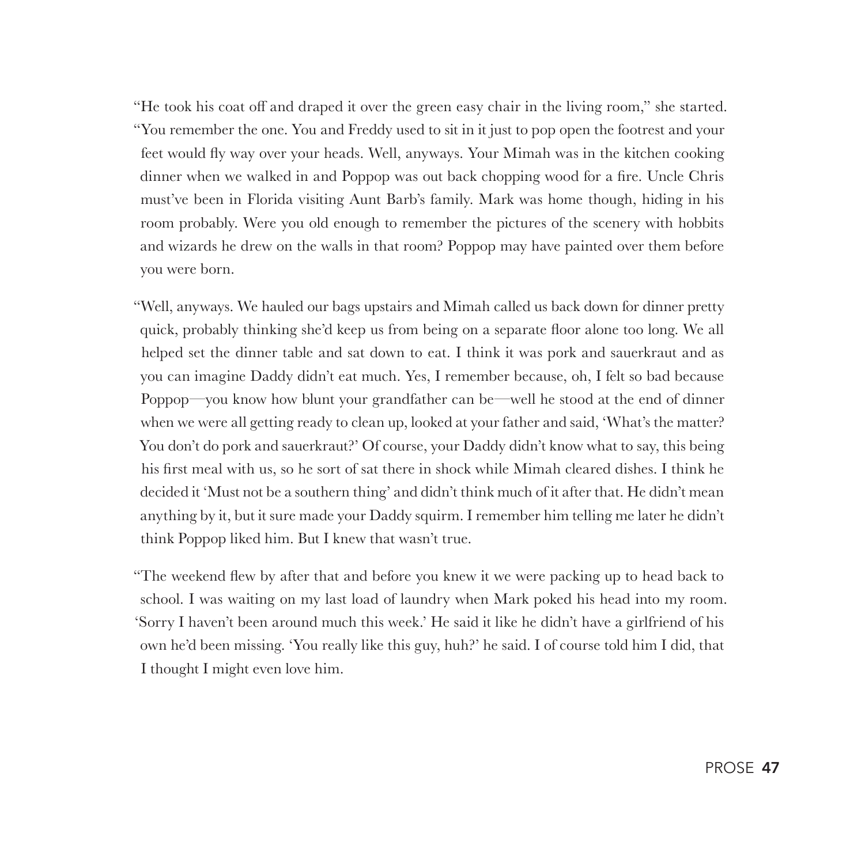"He took his coat off and draped it over the green easy chair in the living room," she started. "You remember the one. You and Freddy used to sit in it just to pop open the footrest and your feet would fly way over your heads. Well, anyways. Your Mimah was in the kitchen cooking dinner when we walked in and Poppop was out back chopping wood for a fire. Uncle Chris must've been in Florida visiting Aunt Barb's family. Mark was home though, hiding in his room probably. Were you old enough to remember the pictures of the scenery with hobbits and wizards he drew on the walls in that room? Poppop may have painted over them before you were born.

"Well, anyways. We hauled our bags upstairs and Mimah called us back down for dinner pretty quick, probably thinking she'd keep us from being on a separate floor alone too long. We all helped set the dinner table and sat down to eat. I think it was pork and sauerkraut and as you can imagine Daddy didn't eat much. Yes, I remember because, oh, I felt so bad because Poppop—you know how blunt your grandfather can be—well he stood at the end of dinner when we were all getting ready to clean up, looked at your father and said, 'What's the matter? You don't do pork and sauerkraut?' Of course, your Daddy didn't know what to say, this being his first meal with us, so he sort of sat there in shock while Mimah cleared dishes. I think he decided it 'Must not be a southern thing' and didn't think much of it after that. He didn't mean anything by it, but it sure made your Daddy squirm. I remember him telling me later he didn't think Poppop liked him. But I knew that wasn't true.

"The weekend flew by after that and before you knew it we were packing up to head back to school. I was waiting on my last load of laundry when Mark poked his head into my room. 'Sorry I haven't been around much this week.' He said it like he didn't have a girlfriend of his own he'd been missing. 'You really like this guy, huh?' he said. I of course told him I did, that I thought I might even love him.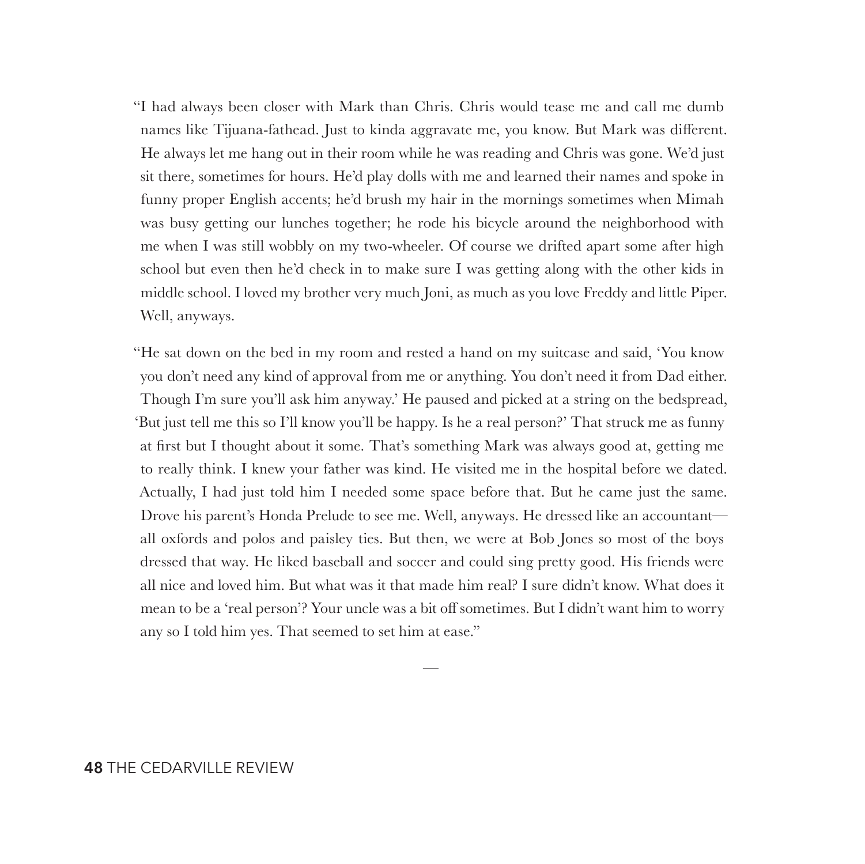"I had always been closer with Mark than Chris. Chris would tease me and call me dumb names like Tijuana-fathead. Just to kinda aggravate me, you know. But Mark was different. He always let me hang out in their room while he was reading and Chris was gone. We'd just sit there, sometimes for hours. He'd play dolls with me and learned their names and spoke in funny proper English accents; he'd brush my hair in the mornings sometimes when Mimah was busy getting our lunches together; he rode his bicycle around the neighborhood with me when I was still wobbly on my two-wheeler. Of course we drifted apart some after high school but even then he'd check in to make sure I was getting along with the other kids in middle school. I loved my brother very much Joni, as much as you love Freddy and little Piper. Well, anyways.

"He sat down on the bed in my room and rested a hand on my suitcase and said, 'You know you don't need any kind of approval from me or anything. You don't need it from Dad either. Though I'm sure you'll ask him anyway.' He paused and picked at a string on the bedspread, 'But just tell me this so I'll know you'll be happy. Is he a real person?' That struck me as funny at first but I thought about it some. That's something Mark was always good at, getting me to really think. I knew your father was kind. He visited me in the hospital before we dated. Actually, I had just told him I needed some space before that. But he came just the same. Drove his parent's Honda Prelude to see me. Well, anyways. He dressed like an accountant all oxfords and polos and paisley ties. But then, we were at Bob Jones so most of the boys dressed that way. He liked baseball and soccer and could sing pretty good. His friends were all nice and loved him. But what was it that made him real? I sure didn't know. What does it mean to be a 'real person'? Your uncle was a bit off sometimes. But I didn't want him to worry any so I told him yes. That seemed to set him at ease."

—

#### **48** THE CEDARVILLE REVIEW